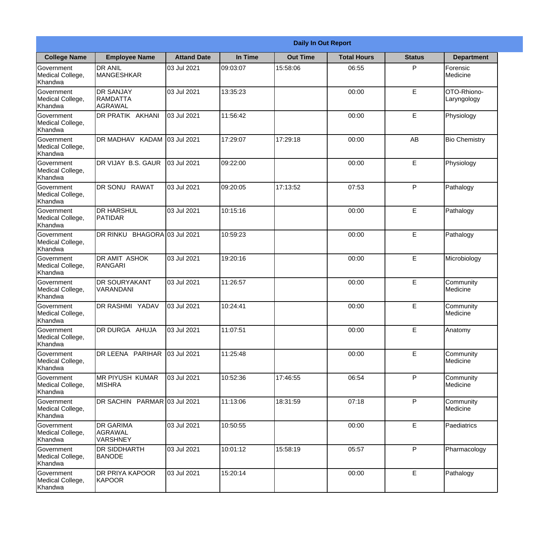|                                                  | <b>Daily In Out Report</b>                     |                    |          |                 |                    |               |                            |
|--------------------------------------------------|------------------------------------------------|--------------------|----------|-----------------|--------------------|---------------|----------------------------|
| <b>College Name</b>                              | <b>Employee Name</b>                           | <b>Attand Date</b> | In Time  | <b>Out Time</b> | <b>Total Hours</b> | <b>Status</b> | <b>Department</b>          |
| Government<br>Medical College,<br>Khandwa        | <b>DR ANIL</b><br><b>MANGESHKAR</b>            | 03 Jul 2021        | 09:03:07 | 15:58:06        | 06:55              | P             | Forensic<br>Medicine       |
| Government<br>Medical College,<br>Khandwa        | <b>DR SANJAY</b><br><b>RAMDATTA</b><br>AGRAWAL | 03 Jul 2021        | 13:35:23 |                 | 00:00              | E             | OTO-Rhiono-<br>Laryngology |
| <b>Government</b><br>Medical College,<br>Khandwa | DR PRATIK AKHANI                               | 03 Jul 2021        | 11:56:42 |                 | 00:00              | E             | Physiology                 |
| Government<br>Medical College,<br>Khandwa        | DR MADHAV KADAM                                | 03 Jul 2021        | 17:29:07 | 17:29:18        | 00:00              | AB            | <b>Bio Chemistry</b>       |
| Government<br>Medical College,<br>Khandwa        | <b>IDR VIJAY B.S. GAUR</b>                     | 03 Jul 2021        | 09:22:00 |                 | 00:00              | E             | Physiology                 |
| Government<br>Medical College,<br>Khandwa        | DR SONU RAWAT                                  | 03 Jul 2021        | 09:20:05 | 17:13:52        | 07:53              | P             | Pathalogy                  |
| Government<br>Medical College,<br>Khandwa        | <b>DR HARSHUL</b><br>PATIDAR                   | 03 Jul 2021        | 10:15:16 |                 | 00:00              | E             | Pathalogy                  |
| Government<br>Medical College,<br>Khandwa        | DR RINKU BHAGORA 03 Jul 2021                   |                    | 10:59:23 |                 | 00:00              | E             | Pathalogy                  |
| Government<br>Medical College,<br>Khandwa        | <b>DR AMIT ASHOK</b><br>RANGARI                | 03 Jul 2021        | 19:20:16 |                 | 00:00              | E             | Microbiology               |
| Government<br>Medical College,<br>Khandwa        | <b>DR SOURYAKANT</b><br>VARANDANI              | 03 Jul 2021        | 11:26:57 |                 | 00:00              | E             | Community<br>Medicine      |
| Government<br>Medical College,<br>Khandwa        | <b>DR RASHMI YADAV</b>                         | 03 Jul 2021        | 10:24:41 |                 | 00:00              | E             | Community<br>Medicine      |
| Government<br>Medical College,<br>Khandwa        | DR DURGA AHUJA                                 | 03 Jul 2021        | 11:07:51 |                 | 00:00              | $\mathsf E$   | Anatomy                    |
| Government<br>Medical College,<br>Khandwa        | DR LEENA PARIHAR                               | 03 Jul 2021        | 11:25:48 |                 | 00:00              | E             | Community<br>Medicine      |
| Government<br>Medical College,<br>Khandwa        | <b>MR PIYUSH KUMAR</b><br><b>MISHRA</b>        | 03 Jul 2021        | 10:52:36 | 17:46:55        | 06:54              | P             | Community<br>Medicine      |
| <b>Government</b><br>Medical College,<br>Khandwa | DR SACHIN PARMAR 03 Jul 2021                   |                    | 11:13:06 | 18:31:59        | 07:18              | P             | Community<br>Medicine      |
| Government<br>Medical College,<br>Khandwa        | <b>DR GARIMA</b><br>AGRAWAL<br><b>VARSHNEY</b> | 03 Jul 2021        | 10:50:55 |                 | 00:00              | $\mathsf E$   | Paediatrics                |
| Government<br>Medical College,<br>Khandwa        | <b>DR SIDDHARTH</b><br><b>BANODE</b>           | 03 Jul 2021        | 10:01:12 | 15:58:19        | 05:57              | P             | Pharmacology               |
| Government<br>Medical College,<br>Khandwa        | <b>DR PRIYA KAPOOR</b><br>KAPOOR               | 03 Jul 2021        | 15:20:14 |                 | 00:00              | $\mathsf E$   | Pathalogy                  |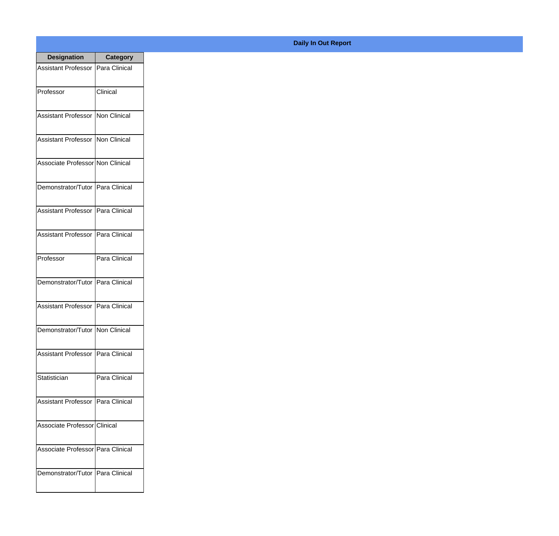| <b>Designation</b>                  | <b>Category</b> |
|-------------------------------------|-----------------|
| Assistant Professor   Para Clinical |                 |
| Professor                           | Clinical        |
| Assistant Professor   Non Clinical  |                 |
| Assistant Professor   Non Clinical  |                 |
| Associate Professor Non Clinical    |                 |
| Demonstrator/Tutor   Para Clinical  |                 |
| Assistant Professor   Para Clinical |                 |
| Assistant Professor   Para Clinical |                 |
| Professor                           | Para Clinical   |
| Demonstrator/Tutor   Para Clinical  |                 |
| <b>Assistant Professor</b>          | Para Clinical   |
| Demonstrator/Tutor   Non Clinical   |                 |
| Assistant Professor   Para Clinical |                 |
| Statistician                        | Para Clinical   |
| Assistant Professor   Para Clinical |                 |
| Associate Professor Clinical        |                 |
| Associate Professor   Para Clinical |                 |
| Demonstrator/Tutor   Para Clinical  |                 |

## **Daily In Out Report**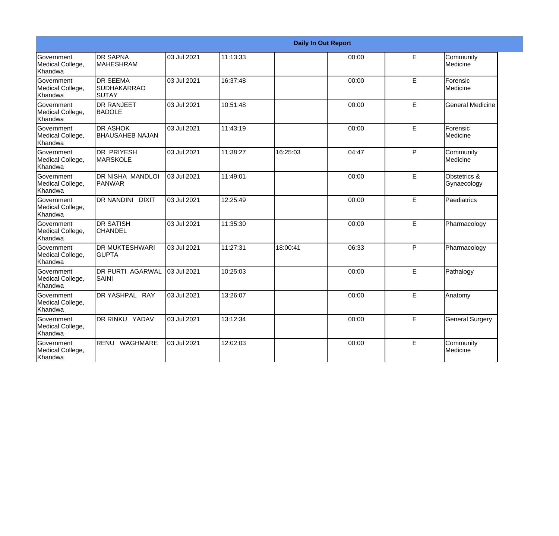| <b>Daily In Out Report</b>                       |                                                       |             |          |          |       |             |                             |
|--------------------------------------------------|-------------------------------------------------------|-------------|----------|----------|-------|-------------|-----------------------------|
| <b>Government</b><br>Medical College,<br>Khandwa | <b>DR SAPNA</b><br><b>MAHESHRAM</b>                   | 03 Jul 2021 | 11:13:33 |          | 00:00 | E           | Community<br>Medicine       |
| Government<br>Medical College,<br>Khandwa        | <b>DR SEEMA</b><br><b>SUDHAKARRAO</b><br><b>SUTAY</b> | 03 Jul 2021 | 16:37:48 |          | 00:00 | E           | Forensic<br>Medicine        |
| <b>Government</b><br>Medical College,<br>Khandwa | <b>DR RANJEET</b><br><b>BADOLE</b>                    | 03 Jul 2021 | 10:51:48 |          | 00:00 | E           | <b>General Medicine</b>     |
| Government<br>Medical College,<br>Khandwa        | <b>DR ASHOK</b><br><b>BHAUSAHEB NAJAN</b>             | 03 Jul 2021 | 11:43:19 |          | 00:00 | $\mathsf E$ | Forensic<br>Medicine        |
| <b>Government</b><br>Medical College,<br>Khandwa | DR PRIYESH<br><b>MARSKOLE</b>                         | 03 Jul 2021 | 11:38:27 | 16:25:03 | 04:47 | P           | Community<br>Medicine       |
| Government<br>Medical College,<br>Khandwa        | <b>DR NISHA MANDLOI</b><br><b>PANWAR</b>              | 03 Jul 2021 | 11:49:01 |          | 00:00 | E           | Obstetrics &<br>Gynaecology |
| <b>Government</b><br>Medical College,<br>Khandwa | <b>DR NANDINI</b><br><b>DIXIT</b>                     | 03 Jul 2021 | 12:25:49 |          | 00:00 | E           | Paediatrics                 |
| Government<br>Medical College,<br>Khandwa        | <b>DR SATISH</b><br><b>CHANDEL</b>                    | 03 Jul 2021 | 11:35:30 |          | 00:00 | E           | Pharmacology                |
| Government<br>Medical College,<br>Khandwa        | <b>DR MUKTESHWARI</b><br><b>GUPTA</b>                 | 03 Jul 2021 | 11:27:31 | 18:00:41 | 06:33 | P           | Pharmacology                |
| Government<br>Medical College,<br>Khandwa        | <b>DR PURTI AGARWAL</b><br>SAINI                      | 03 Jul 2021 | 10:25:03 |          | 00:00 | E           | Pathalogy                   |
| <b>Government</b><br>Medical College,<br>Khandwa | DR YASHPAL RAY                                        | 03 Jul 2021 | 13:26:07 |          | 00:00 | E           | Anatomy                     |
| Government<br>Medical College,<br>Khandwa        | <b>DR RINKU YADAV</b>                                 | 03 Jul 2021 | 13:12:34 |          | 00:00 | E           | <b>General Surgery</b>      |
| Government<br>Medical College,<br>Khandwa        | RENU<br><b>WAGHMARE</b>                               | 03 Jul 2021 | 12:02:03 |          | 00:00 | E           | Community<br>Medicine       |